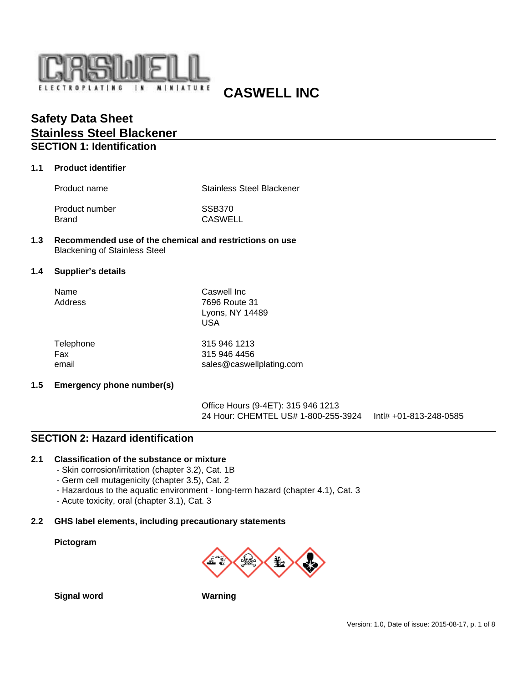

# **CASWELL INC**

## **Safety Data Sheet Stainless Steel Blackener SECTION 1: Identification**

## **1.1 Product identifier**

Product name Stainless Steel Blackener

Product number SSB370 Brand CASWELL

### **1.3 Recommended use of the chemical and restrictions on use** Blackening of Stainless Steel

#### **1.4 Supplier's details**

| Name<br>Address  | Caswell Inc<br>7696 Route 31 |
|------------------|------------------------------|
|                  | Lyons, NY 14489<br>USA       |
| <b>Talanhana</b> | $0.4E$ $0.4E$ $0.403$        |

| Telephone | 315 946 1213             |  |
|-----------|--------------------------|--|
| Fax       | 315 946 4456             |  |
| email     | sales@caswellplating.com |  |

### **1.5 Emergency phone number(s)**

Office Hours (9-4ET): 315 946 1213 24 Hour: CHEMTEL US# 1-800-255-3924 Intl# +01-813-248-0585

## **SECTION 2: Hazard identification**

### **2.1 Classification of the substance or mixture**

- Skin corrosion/irritation (chapter 3.2), Cat. 1B
- Germ cell mutagenicity (chapter 3.5), Cat. 2
- Hazardous to the aquatic environment long-term hazard (chapter 4.1), Cat. 3
- Acute toxicity, oral (chapter 3.1), Cat. 3

#### **2.2 GHS label elements, including precautionary statements**

#### **Pictogram**



**Signal word Warning**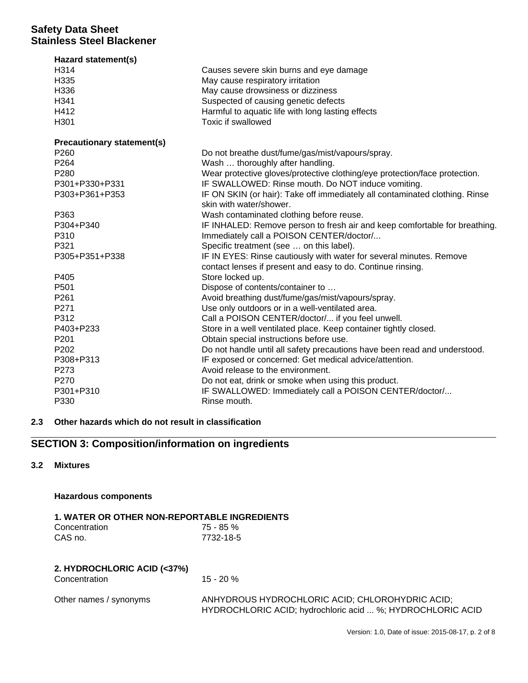| Hazard statement(s)               |                                                                             |
|-----------------------------------|-----------------------------------------------------------------------------|
| H314                              | Causes severe skin burns and eye damage                                     |
| H335                              | May cause respiratory irritation                                            |
| H336                              | May cause drowsiness or dizziness                                           |
| H341                              | Suspected of causing genetic defects                                        |
| H412                              | Harmful to aquatic life with long lasting effects                           |
| H301                              | <b>Toxic if swallowed</b>                                                   |
| <b>Precautionary statement(s)</b> |                                                                             |
| P <sub>260</sub>                  | Do not breathe dust/fume/gas/mist/vapours/spray.                            |
| P <sub>264</sub>                  | Wash  thoroughly after handling.                                            |
| P280                              | Wear protective gloves/protective clothing/eye protection/face protection.  |
| P301+P330+P331                    | IF SWALLOWED: Rinse mouth. Do NOT induce vomiting.                          |
| P303+P361+P353                    | IF ON SKIN (or hair): Take off immediately all contaminated clothing. Rinse |
|                                   | skin with water/shower.                                                     |
| P363                              | Wash contaminated clothing before reuse.                                    |
| P304+P340                         | IF INHALED: Remove person to fresh air and keep comfortable for breathing.  |
| P310                              | Immediately call a POISON CENTER/doctor/                                    |
| P321                              | Specific treatment (see  on this label).                                    |
| P305+P351+P338                    | IF IN EYES: Rinse cautiously with water for several minutes. Remove         |
|                                   | contact lenses if present and easy to do. Continue rinsing.                 |
| P405                              | Store locked up.                                                            |
| P501                              | Dispose of contents/container to                                            |
| P261                              | Avoid breathing dust/fume/gas/mist/vapours/spray.                           |
| P271                              | Use only outdoors or in a well-ventilated area.                             |
| P312                              | Call a POISON CENTER/doctor/ if you feel unwell.                            |
| P403+P233                         | Store in a well ventilated place. Keep container tightly closed.            |
| P <sub>201</sub>                  | Obtain special instructions before use.                                     |
| P <sub>202</sub>                  | Do not handle until all safety precautions have been read and understood.   |
| P308+P313                         | IF exposed or concerned: Get medical advice/attention.                      |
| P273                              | Avoid release to the environment.                                           |
| P270                              | Do not eat, drink or smoke when using this product.                         |
| P301+P310                         | IF SWALLOWED: Immediately call a POISON CENTER/doctor/                      |
| P330                              | Rinse mouth.                                                                |

## **2.3 Other hazards which do not result in classification**

## **SECTION 3: Composition/information on ingredients**

## **3.2 Mixtures**

### **Hazardous components**

## **1. WATER OR OTHER NON-REPORTABLE INGREDIENTS**

| Concentration | 75 - 85 % |
|---------------|-----------|
| CAS no.       | 7732-18-5 |

## **2. HYDROCHLORIC ACID (<37%)**

Concentration 15 - 20 %

| Other names / synonyms |  |
|------------------------|--|
|------------------------|--|

ANHYDROUS HYDROCHLORIC ACID; CHLOROHYDRIC ACID; HYDROCHLORIC ACID; hydrochloric acid ... %; HYDROCHLORIC ACID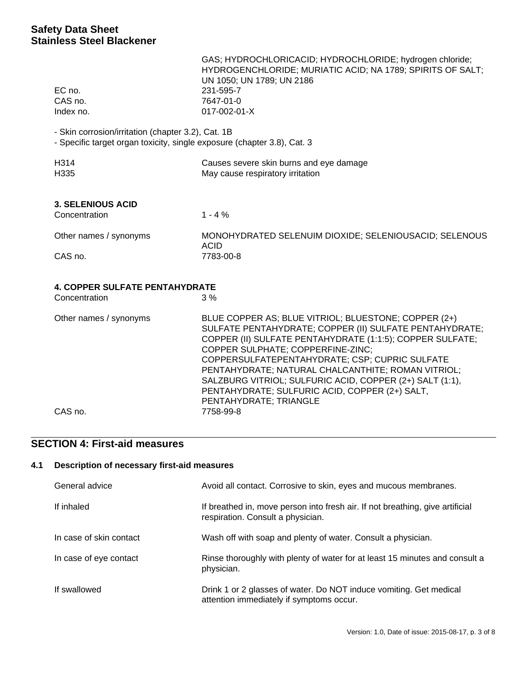| EC no.<br>CAS no.<br>Index no.                                                                                                | GAS; HYDROCHLORICACID; HYDROCHLORIDE; hydrogen chloride;<br>HYDROGENCHLORIDE; MURIATIC ACID; NA 1789; SPIRITS OF SALT;<br>UN 1050; UN 1789; UN 2186<br>231-595-7<br>7647-01-0<br>017-002-01-X                                                                                                                                                                                                                                                                     |  |
|-------------------------------------------------------------------------------------------------------------------------------|-------------------------------------------------------------------------------------------------------------------------------------------------------------------------------------------------------------------------------------------------------------------------------------------------------------------------------------------------------------------------------------------------------------------------------------------------------------------|--|
| - Skin corrosion/irritation (chapter 3.2), Cat. 1B<br>- Specific target organ toxicity, single exposure (chapter 3.8), Cat. 3 |                                                                                                                                                                                                                                                                                                                                                                                                                                                                   |  |
| H314<br>H335                                                                                                                  | Causes severe skin burns and eye damage<br>May cause respiratory irritation                                                                                                                                                                                                                                                                                                                                                                                       |  |
| <b>3. SELENIOUS ACID</b><br>Concentration                                                                                     | $1 - 4%$                                                                                                                                                                                                                                                                                                                                                                                                                                                          |  |
| Other names / synonyms<br>CAS no.                                                                                             | MONOHYDRATED SELENUIM DIOXIDE; SELENIOUSACID; SELENOUS<br><b>ACID</b><br>7783-00-8                                                                                                                                                                                                                                                                                                                                                                                |  |
| <b>4. COPPER SULFATE PENTAHYDRATE</b><br>Concentration                                                                        | 3%                                                                                                                                                                                                                                                                                                                                                                                                                                                                |  |
| Other names / synonyms                                                                                                        | BLUE COPPER AS; BLUE VITRIOL; BLUESTONE; COPPER (2+)<br>SULFATE PENTAHYDRATE; COPPER (II) SULFATE PENTAHYDRATE;<br>COPPER (II) SULFATE PENTAHYDRATE (1:1:5); COPPER SULFATE;<br>COPPER SULPHATE; COPPERFINE-ZINC;<br>COPPERSULFATEPENTAHYDRATE; CSP; CUPRIC SULFATE<br>PENTAHYDRATE; NATURAL CHALCANTHITE; ROMAN VITRIOL;<br>SALZBURG VITRIOL; SULFURIC ACID, COPPER (2+) SALT (1:1),<br>PENTAHYDRATE; SULFURIC ACID, COPPER (2+) SALT,<br>PENTAHYDRATE; TRIANGLE |  |
| CAS no.                                                                                                                       | 7758-99-8                                                                                                                                                                                                                                                                                                                                                                                                                                                         |  |

# **SECTION 4: First-aid measures**

## **4.1 Description of necessary first-aid measures**

| General advice          | Avoid all contact. Corrosive to skin, eyes and mucous membranes.                                                   |
|-------------------------|--------------------------------------------------------------------------------------------------------------------|
| If inhaled              | If breathed in, move person into fresh air. If not breathing, give artificial<br>respiration. Consult a physician. |
| In case of skin contact | Wash off with soap and plenty of water. Consult a physician.                                                       |
| In case of eye contact  | Rinse thoroughly with plenty of water for at least 15 minutes and consult a<br>physician.                          |
| If swallowed            | Drink 1 or 2 glasses of water. Do NOT induce vomiting. Get medical<br>attention immediately if symptoms occur.     |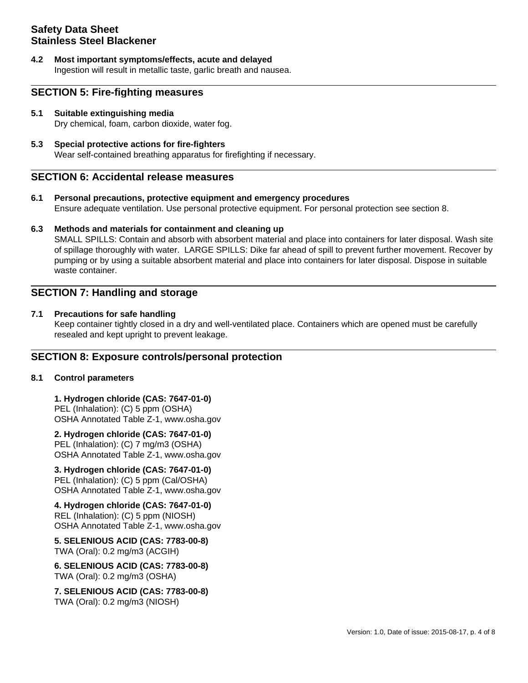**4.2 Most important symptoms/effects, acute and delayed** Ingestion will result in metallic taste, garlic breath and nausea.

## **SECTION 5: Fire-fighting measures**

- **5.1 Suitable extinguishing media** Dry chemical, foam, carbon dioxide, water fog.
- **5.3 Special protective actions for fire-fighters** Wear self-contained breathing apparatus for firefighting if necessary.

## **SECTION 6: Accidental release measures**

**6.1 Personal precautions, protective equipment and emergency procedures** Ensure adequate ventilation. Use personal protective equipment. For personal protection see section 8.

### **6.3 Methods and materials for containment and cleaning up**

SMALL SPILLS: Contain and absorb with absorbent material and place into containers for later disposal. Wash site of spillage thoroughly with water. LARGE SPILLS: Dike far ahead of spill to prevent further movement. Recover by pumping or by using a suitable absorbent material and place into containers for later disposal. Dispose in suitable waste container.

## **SECTION 7: Handling and storage**

### **7.1 Precautions for safe handling**

Keep container tightly closed in a dry and well-ventilated place. Containers which are opened must be carefully resealed and kept upright to prevent leakage.

## **SECTION 8: Exposure controls/personal protection**

### **8.1 Control parameters**

**1. Hydrogen chloride (CAS: 7647-01-0)**  PEL (Inhalation): (C) 5 ppm (OSHA) OSHA Annotated Table Z-1, www.osha.gov

**2. Hydrogen chloride (CAS: 7647-01-0)**  PEL (Inhalation): (C) 7 mg/m3 (OSHA) OSHA Annotated Table Z-1, www.osha.gov

**3. Hydrogen chloride (CAS: 7647-01-0)**  PEL (Inhalation): (C) 5 ppm (Cal/OSHA) OSHA Annotated Table Z-1, www.osha.gov

**4. Hydrogen chloride (CAS: 7647-01-0)**  REL (Inhalation): (C) 5 ppm (NIOSH) OSHA Annotated Table Z-1, www.osha.gov

**5. SELENIOUS ACID (CAS: 7783-00-8)**  TWA (Oral): 0.2 mg/m3 (ACGIH)

**6. SELENIOUS ACID (CAS: 7783-00-8)**  TWA (Oral): 0.2 mg/m3 (OSHA)

**7. SELENIOUS ACID (CAS: 7783-00-8)**  TWA (Oral): 0.2 mg/m3 (NIOSH)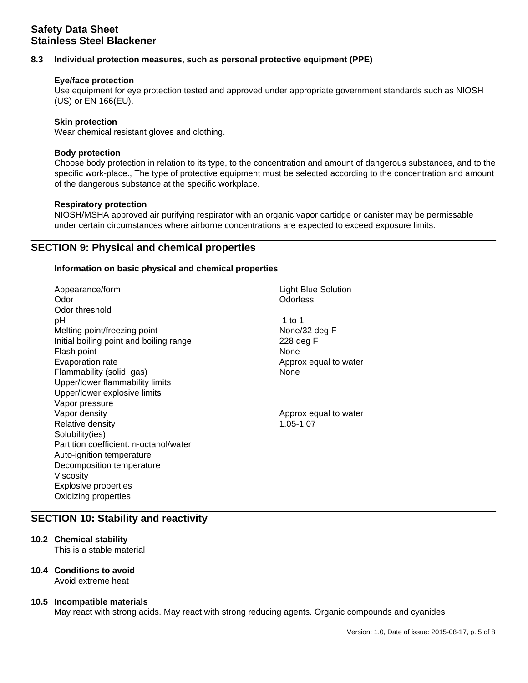## **8.3 Individual protection measures, such as personal protective equipment (PPE)**

### **Eye/face protection**

Use equipment for eye protection tested and approved under appropriate government standards such as NIOSH (US) or EN 166(EU).

#### **Skin protection**

Wear chemical resistant gloves and clothing.

#### **Body protection**

Choose body protection in relation to its type, to the concentration and amount of dangerous substances, and to the specific work-place., The type of protective equipment must be selected according to the concentration and amount of the dangerous substance at the specific workplace.

#### **Respiratory protection**

NIOSH/MSHA approved air purifying respirator with an organic vapor cartidge or canister may be permissable under certain circumstances where airborne concentrations are expected to exceed exposure limits.

## **SECTION 9: Physical and chemical properties**

#### **Information on basic physical and chemical properties**

Appearance/form Light Blue Solution Odor **Odorless** Odor threshold pH -1 to 1 Melting point/freezing point None/32 deg F Initial boiling point and boiling range 228 deg F Flash point None Evaporation rate **Approx equal to water** Approx equal to water Flammability (solid, gas) None Upper/lower flammability limits Upper/lower explosive limits Vapor pressure Vapor density Approx equal to water Relative density 1.05-1.07 Solubility(ies) Partition coefficient: n-octanol/water Auto-ignition temperature Decomposition temperature Viscosity Explosive properties Oxidizing properties

## **SECTION 10: Stability and reactivity**

## **10.2 Chemical stability**

This is a stable material

### **10.4 Conditions to avoid**

Avoid extreme heat

### **10.5 Incompatible materials**

May react with strong acids. May react with strong reducing agents. Organic compounds and cyanides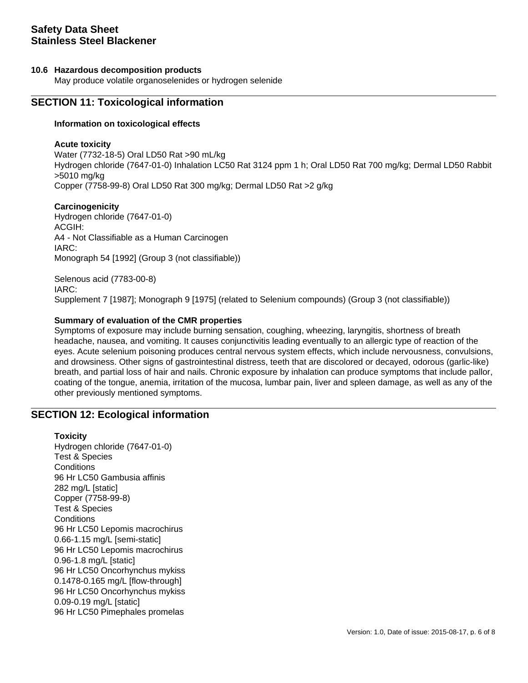### **10.6 Hazardous decomposition products**

May produce volatile organoselenides or hydrogen selenide

## **SECTION 11: Toxicological information**

### **Information on toxicological effects**

#### **Acute toxicity**

Water (7732-18-5) Oral LD50 Rat >90 mL/kg Hydrogen chloride (7647-01-0) Inhalation LC50 Rat 3124 ppm 1 h; Oral LD50 Rat 700 mg/kg; Dermal LD50 Rabbit >5010 mg/kg Copper (7758-99-8) Oral LD50 Rat 300 mg/kg; Dermal LD50 Rat >2 g/kg

### **Carcinogenicity**

Hydrogen chloride (7647-01-0) ACGIH: A4 - Not Classifiable as a Human Carcinogen IARC: Monograph 54 [1992] (Group 3 (not classifiable))

Selenous acid (7783-00-8) IARC: Supplement 7 [1987]; Monograph 9 [1975] (related to Selenium compounds) (Group 3 (not classifiable))

### **Summary of evaluation of the CMR properties**

Symptoms of exposure may include burning sensation, coughing, wheezing, laryngitis, shortness of breath headache, nausea, and vomiting. It causes conjunctivitis leading eventually to an allergic type of reaction of the eyes. Acute selenium poisoning produces central nervous system effects, which include nervousness, convulsions, and drowsiness. Other signs of gastrointestinal distress, teeth that are discolored or decayed, odorous (garlic-like) breath, and partial loss of hair and nails. Chronic exposure by inhalation can produce symptoms that include pallor, coating of the tongue, anemia, irritation of the mucosa, lumbar pain, liver and spleen damage, as well as any of the other previously mentioned symptoms.

## **SECTION 12: Ecological information**

#### **Toxicity**

Hydrogen chloride (7647-01-0) Test & Species **Conditions** 96 Hr LC50 Gambusia affinis 282 mg/L [static] Copper (7758-99-8) Test & Species **Conditions** 96 Hr LC50 Lepomis macrochirus 0.66-1.15 mg/L [semi-static] 96 Hr LC50 Lepomis macrochirus 0.96-1.8 mg/L [static] 96 Hr LC50 Oncorhynchus mykiss 0.1478-0.165 mg/L [flow-through] 96 Hr LC50 Oncorhynchus mykiss 0.09-0.19 mg/L [static] 96 Hr LC50 Pimephales promelas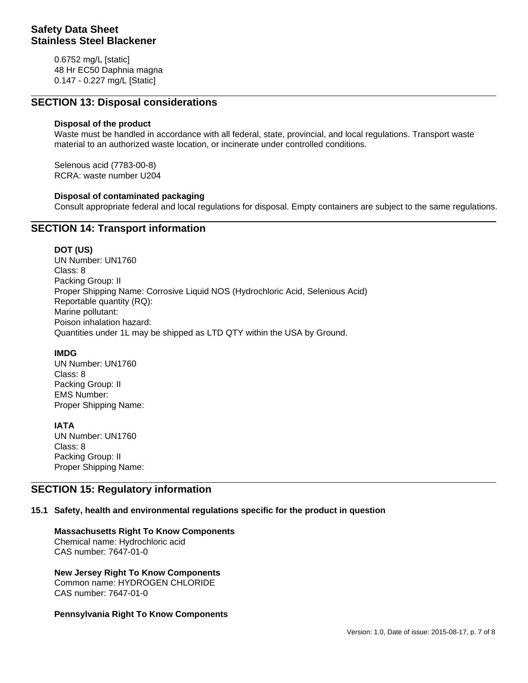0.6752 mg/L [static] 48 Hr EC50 Daphnia magna 0.147 - 0.227 mg/L [Static]

## **SECTION 13: Disposal considerations**

### **Disposal of the product**

Waste must be handled in accordance with all federal, state, provincial, and local regulations. Transport waste material to an authorized waste location, or incinerate under controlled conditions.

Selenous acid (7783-00-8) RCRA: waste number U204

### **Disposal of contaminated packaging**

Consult appropriate federal and local regulations for disposal. Empty containers are subject to the same regulations.

## **SECTION 14: Transport information**

#### **DOT (US)**

UN Number: UN1760 Class: 8 Packing Group: II Proper Shipping Name: Corrosive Liquid NOS (Hydrochloric Acid, Selenious Acid) Reportable quantity (RQ): Marine pollutant: Poison inhalation hazard: Quantities under 1L may be shipped as LTD QTY within the USA by Ground.

### **IMDG**

UN Number: UN1760 Class: 8 Packing Group: II EMS Number: Proper Shipping Name:

**IATA** UN Number: UN1760 Class: 8 Packing Group: II Proper Shipping Name:

## **SECTION 15: Regulatory information**

### **15.1 Safety, health and environmental regulations specific for the product in question**

### **Massachusetts Right To Know Components**

Chemical name: Hydrochloric acid CAS number: 7647-01-0

### **New Jersey Right To Know Components**

Common name: HYDROGEN CHLORIDE CAS number: 7647-01-0

### **Pennsylvania Right To Know Components**